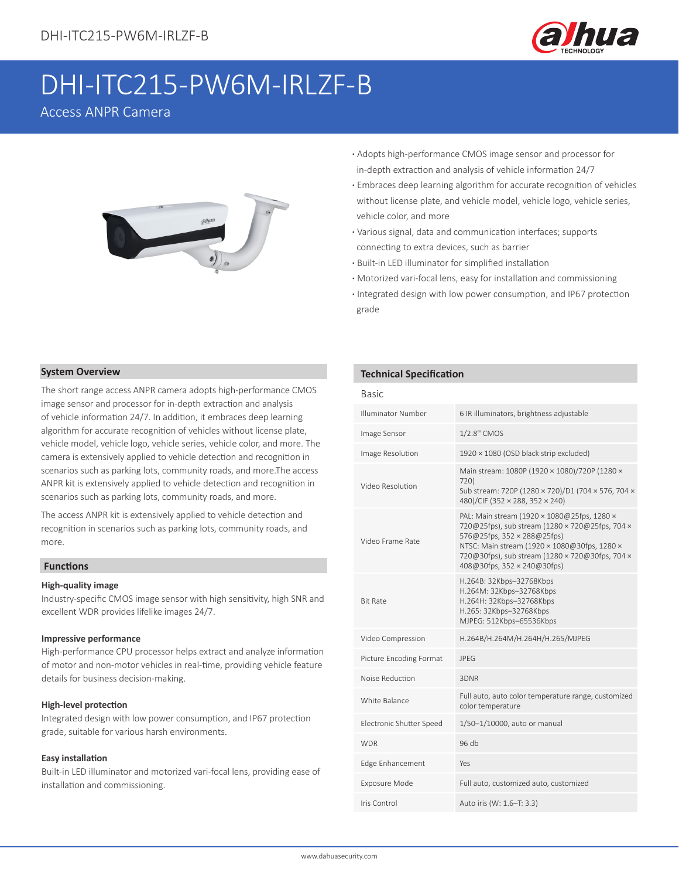

# DHI-ITC215-PW6M-IRLZF-B

# Access ANPR Camera



- **·** Adopts high-performance CMOS image sensor and processor for in-depth extraction and analysis of vehicle information 24/7
- **·** Embraces deep learning algorithm for accurate recognition of vehicles without license plate, and vehicle model, vehicle logo, vehicle series, vehicle color, and more
- **·** Various signal, data and communication interfaces; supports connecting to extra devices, such as barrier
- **·** Built-in LED illuminator for simplified installation
- **·** Motorized vari-focal lens, easy for installation and commissioning
- **·** Integrated design with low power consumption, and IP67 protection grade

#### **System Overview**

The short range access ANPR camera adopts high-performance CMOS image sensor and processor for in-depth extraction and analysis of vehicle information 24/7. In addition, it embraces deep learning algorithm for accurate recognition of vehicles without license plate, vehicle model, vehicle logo, vehicle series, vehicle color, and more. The camera is extensively applied to vehicle detection and recognition in scenarios such as parking lots, community roads, and more.The access ANPR kit is extensively applied to vehicle detection and recognition in scenarios such as parking lots, community roads, and more.

The access ANPR kit is extensively applied to vehicle detection and recognition in scenarios such as parking lots, community roads, and more.

#### **Functions**

#### **High-quality image**

Industry-specific CMOS image sensor with high sensitivity, high SNR and excellent WDR provides lifelike images 24/7.

#### **Impressive performance**

High-performance CPU processor helps extract and analyze information of motor and non-motor vehicles in real-time, providing vehicle feature details for business decision-making.

#### **High-level protection**

Integrated design with low power consumption, and IP67 protection grade, suitable for various harsh environments.

#### **Easy installation**

Built-in LED illuminator and motorized vari-focal lens, providing ease of installation and commissioning.

#### **Technical Specification**

| ۰. | ۰, | ۰,<br>× |
|----|----|---------|
|    |    |         |

| <b>Illuminator Number</b> | 6 IR illuminators, brightness adjustable                                                                                                                                                                                                                        |
|---------------------------|-----------------------------------------------------------------------------------------------------------------------------------------------------------------------------------------------------------------------------------------------------------------|
| Image Sensor              | 1/2.8" CMOS                                                                                                                                                                                                                                                     |
| Image Resolution          | 1920 × 1080 (OSD black strip excluded)                                                                                                                                                                                                                          |
| Video Resolution          | Main stream: 1080P (1920 × 1080)/720P (1280 ×<br>720)<br>Sub stream: 720P (1280 × 720)/D1 (704 × 576, 704 ×<br>480)/CIF (352 × 288, 352 × 240)                                                                                                                  |
| Video Frame Rate          | PAL: Main stream (1920 × 1080@25fps, 1280 ×<br>720@25fps), sub stream (1280 × 720@25fps, 704 ×<br>576@25fps, 352 × 288@25fps)<br>NTSC: Main stream (1920 × 1080@30fps, 1280 ×<br>720@30fps), sub stream (1280 × 720@30fps, 704 ×<br>408@30fps, 352 × 240@30fps) |
| <b>Bit Rate</b>           | H.264B: 32Kbps-32768Kbps<br>H.264M: 32Kbps-32768Kbps<br>H.264H: 32Kbps-32768Kbps<br>H.265: 32Kbps-32768Kbps<br>MJPEG: 512Kbps-65536Kbps                                                                                                                         |
| Video Compression         | H.264B/H.264M/H.264H/H.265/MJPEG                                                                                                                                                                                                                                |
| Picture Encoding Format   | <b>IPFG</b>                                                                                                                                                                                                                                                     |
| Noise Reduction           | 3DNR                                                                                                                                                                                                                                                            |
| White Balance             | Full auto, auto color temperature range, customized<br>color temperature                                                                                                                                                                                        |
| Electronic Shutter Speed  | 1/50-1/10000, auto or manual                                                                                                                                                                                                                                    |
| <b>WDR</b>                | $96$ db                                                                                                                                                                                                                                                         |
| Edge Enhancement          | Yes                                                                                                                                                                                                                                                             |
| Exposure Mode             | Full auto, customized auto, customized                                                                                                                                                                                                                          |
| Iris Control              | Auto iris (W: 1.6-T: 3.3)                                                                                                                                                                                                                                       |
|                           |                                                                                                                                                                                                                                                                 |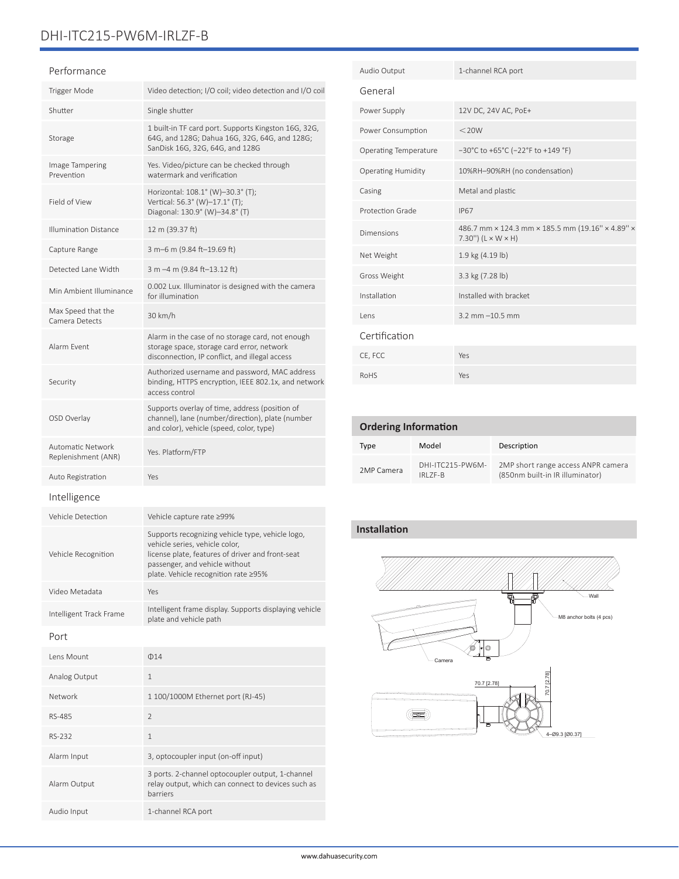# DHI-ITC215-PW6M-IRLZF-B

#### Performance

| Trigger Mode                             | Video detection; I/O coil; video detection and I/O coil                                                                                                                                                          |  |
|------------------------------------------|------------------------------------------------------------------------------------------------------------------------------------------------------------------------------------------------------------------|--|
| Shutter                                  | Single shutter                                                                                                                                                                                                   |  |
| Storage                                  | 1 built-in TF card port. Supports Kingston 16G, 32G,<br>64G, and 128G; Dahua 16G, 32G, 64G, and 128G;<br>SanDisk 16G, 32G, 64G, and 128G                                                                         |  |
| Image Tampering<br>Prevention            | Yes. Video/picture can be checked through<br>watermark and verification                                                                                                                                          |  |
| Field of View                            | Horizontal: 108.1° (W)-30.3° (T);<br>Vertical: 56.3° (W)-17.1° (T);<br>Diagonal: 130.9° (W)-34.8° (T)                                                                                                            |  |
| <b>Illumination Distance</b>             | 12 m (39.37 ft)                                                                                                                                                                                                  |  |
| Capture Range                            | 3 m-6 m (9.84 ft-19.69 ft)                                                                                                                                                                                       |  |
| Detected Lane Width                      | 3 m -4 m (9.84 ft-13.12 ft)                                                                                                                                                                                      |  |
| Min Ambient Illuminance                  | 0.002 Lux. Illuminator is designed with the camera<br>for illumination                                                                                                                                           |  |
| Max Speed that the<br>Camera Detects     | 30 km/h                                                                                                                                                                                                          |  |
| Alarm Event                              | Alarm in the case of no storage card, not enough<br>storage space, storage card error, network<br>disconnection, IP conflict, and illegal access                                                                 |  |
| Security                                 | Authorized username and password, MAC address<br>binding, HTTPS encryption, IEEE 802.1x, and network<br>access control                                                                                           |  |
| OSD Overlay                              | Supports overlay of time, address (position of<br>channel), lane (number/direction), plate (number<br>and color), vehicle (speed, color, type)                                                                   |  |
| Automatic Network<br>Replenishment (ANR) | Yes. Platform/FTP                                                                                                                                                                                                |  |
| Auto Registration                        | Yes                                                                                                                                                                                                              |  |
|                                          |                                                                                                                                                                                                                  |  |
| Intelligence                             |                                                                                                                                                                                                                  |  |
| Vehicle Detection                        | Vehicle capture rate ≥99%                                                                                                                                                                                        |  |
| Vehicle Recognition                      | Supports recognizing vehicle type, vehicle logo,<br>vehicle series, vehicle color,<br>license plate, features of driver and front-seat<br>passenger, and vehicle without<br>plate. Vehicle recognition rate ≥95% |  |
| Video Metadata                           | Yes                                                                                                                                                                                                              |  |
| Intelligent Track Frame                  | Intelligent frame display. Supports displaying vehicle<br>plate and vehicle path                                                                                                                                 |  |
| Port                                     |                                                                                                                                                                                                                  |  |
| Lens Mount                               | $\Phi$ 14                                                                                                                                                                                                        |  |
| Analog Output                            | 1                                                                                                                                                                                                                |  |
| Network                                  | 1 100/1000M Ethernet port (RJ-45)                                                                                                                                                                                |  |
| RS-485                                   | 2                                                                                                                                                                                                                |  |
| RS-232                                   | 1                                                                                                                                                                                                                |  |
| Alarm Input                              | 3, optocoupler input (on-off input)                                                                                                                                                                              |  |

Audio Input 1-channel RCA port

| Audio Output                 | 1-channel RCA port                                                                 |
|------------------------------|------------------------------------------------------------------------------------|
| General                      |                                                                                    |
| Power Supply                 | 12V DC, 24V AC, PoE+                                                               |
| Power Consumption            | $<$ 20W                                                                            |
| <b>Operating Temperature</b> | $-30^{\circ}$ C to +65 $^{\circ}$ C (-22 $^{\circ}$ F to +149 $^{\circ}$ F)        |
| <b>Operating Humidity</b>    | 10%RH-90%RH (no condensation)                                                      |
| Casing                       | Metal and plastic                                                                  |
| Protection Grade             | <b>IP67</b>                                                                        |
| Dimensions                   | 486.7 mm × 124.3 mm × 185.5 mm (19.16" × 4.89" ×<br>7.30") $(L \times W \times H)$ |
| Net Weight                   | 1.9 kg (4.19 lb)                                                                   |
| Gross Weight                 | 3.3 kg (7.28 lb)                                                                   |
| Installation                 | Installed with bracket                                                             |
| lens                         | $3.2$ mm $-10.5$ mm                                                                |
| Certification                |                                                                                    |
| CE, FCC                      | Yes                                                                                |
| <b>RoHS</b>                  | Yes                                                                                |

### **Ordering Information**

| Type       | Model                            | Description                                                           |
|------------|----------------------------------|-----------------------------------------------------------------------|
| 2MP Camera | DHI-ITC215-PW6M-<br>$IRI$ $7F-R$ | 2MP short range access ANPR camera<br>(850nm built-in IR illuminator) |

## **Installation**